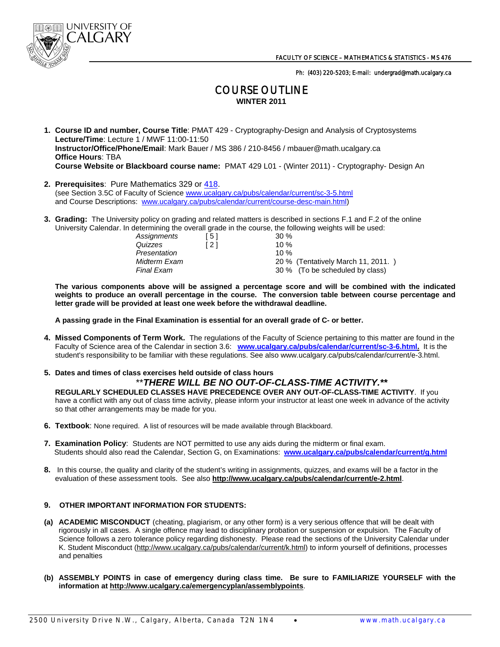

Ph: (403) 220-5203; E-mail: undergrad@math.ucalgary.ca

## COURSE OUTLINE **WINTER 2011**

- **1. Course ID and number, Course Title**: PMAT 429 Cryptography-Design and Analysis of Cryptosystems **Lecture/Time**: Lecture 1 / MWF 11:00-11:50 **Instructor/Office/Phone/Email**: Mark Bauer / MS 386 / 210-8456 / mbauer@math.ucalgary.ca **Office Hours**: TBA  **Course Website or Blackboard course name:** PMAT 429 L01 - (Winter 2011) - Cryptography- Design An
- **2. Prerequisites**: Pure Mathematics 329 or 418. (see Section 3.5C of Faculty of Science www.ucalgary.ca/pubs/calendar/current/sc-3-5.html and Course Descriptions: www.ucalgary.ca/pubs/calendar/current/course-desc-main.html)
- **3. Grading:** The University policy on grading and related matters is described in sections F.1 and F.2 of the online University Calendar. In determining the overall grade in the course, the following weights will be used:

| Assignments<br>Quizzes<br>Presentation<br>Midterm Exam<br>Final Exam | ์ 5 I<br>' 2 1 | 30%<br>10 %<br>1በ %<br>20 % (Tentatively March 11, 2011.)<br>30 % (To be scheduled by class) |
|----------------------------------------------------------------------|----------------|----------------------------------------------------------------------------------------------|
|----------------------------------------------------------------------|----------------|----------------------------------------------------------------------------------------------|

 **The various components above will be assigned a percentage score and will be combined with the indicated weights to produce an overall percentage in the course. The conversion table between course percentage and letter grade will be provided at least one week before the withdrawal deadline.** 

 **A passing grade in the Final Examination is essential for an overall grade of C- or better.** 

- **4. Missed Components of Term Work.** The regulations of the Faculty of Science pertaining to this matter are found in the Faculty of Science area of the Calendar in section 3.6: **www.ucalgary.ca/pubs/calendar/current/sc-3-6.html.** It is the student's responsibility to be familiar with these regulations. See also www.ucalgary.ca/pubs/calendar/current/e-3.html.
- **5. Dates and times of class exercises held outside of class hours**  \*\**THERE WILL BE NO OUT-OF-CLASS-TIME ACTIVITY.\*\**

**REGULARLY SCHEDULED CLASSES HAVE PRECEDENCE OVER ANY OUT-OF-CLASS-TIME ACTIVITY**. If you have a conflict with any out of class time activity, please inform your instructor at least one week in advance of the activity so that other arrangements may be made for you.

- **6. Textbook**: None required. A list of resources will be made available through Blackboard.
- **7. Examination Policy**: Students are NOT permitted to use any aids during the midterm or final exam. Students should also read the Calendar, Section G, on Examinations: **www.ucalgary.ca/pubs/calendar/current/g.html**
- **8.** In this course, the quality and clarity of the student's writing in assignments, quizzes, and exams will be a factor in the evaluation of these assessment tools. See also **http://www.ucalgary.ca/pubs/calendar/current/e-2.html**.

## **9. OTHER IMPORTANT INFORMATION FOR STUDENTS:**

- **(a) ACADEMIC MISCONDUCT** (cheating, plagiarism, or any other form) is a very serious offence that will be dealt with rigorously in all cases. A single offence may lead to disciplinary probation or suspension or expulsion. The Faculty of Science follows a zero tolerance policy regarding dishonesty. Please read the sections of the University Calendar under K. Student Misconduct (http://www.ucalgary.ca/pubs/calendar/current/k.html) to inform yourself of definitions, processes and penalties
- **(b) ASSEMBLY POINTS in case of emergency during class time. Be sure to FAMILIARIZE YOURSELF with the information at http://www.ucalgary.ca/emergencyplan/assemblypoints**.